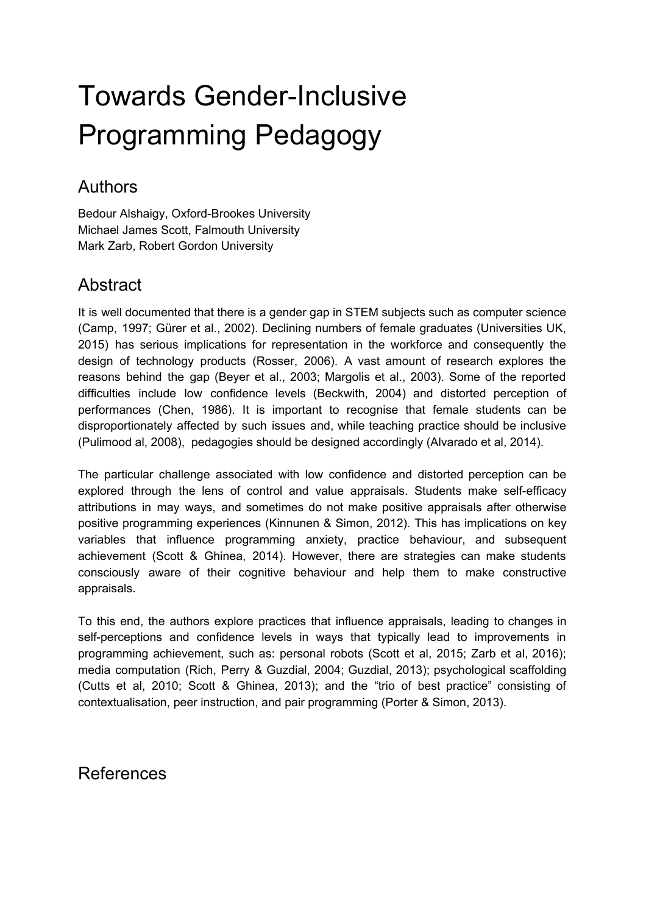## Towards Gender-Inclusive Programming Pedagogy

## Authors

Bedour Alshaigy, Oxford-Brookes University Michael James Scott, Falmouth University Mark Zarb, Robert Gordon University

## **Abstract**

It is well documented that there is a gender gap in STEM subjects such as computer science (Camp, 1997; Gürer et al., 2002). Declining numbers of female graduates (Universities UK, 2015) has serious implications for representation in the workforce and consequently the design of technology products (Rosser, 2006). A vast amount of research explores the reasons behind the gap (Beyer et al., 2003; Margolis et al., 2003). Some of the reported difficulties include low confidence levels (Beckwith, 2004) and distorted perception of performances (Chen, 1986). It is important to recognise that female students can be disproportionately affected by such issues and, while teaching practice should be inclusive (Pulimood al, 2008), pedagogies should be designed accordingly (Alvarado et al, 2014).

The particular challenge associated with low confidence and distorted perception can be explored through the lens of control and value appraisals. Students make self-efficacy attributions in may ways, and sometimes do not make positive appraisals after otherwise positive programming experiences (Kinnunen & Simon, 2012). This has implications on key variables that influence programming anxiety, practice behaviour, and subsequent achievement (Scott & Ghinea, 2014). However, there are strategies can make students consciously aware of their cognitive behaviour and help them to make constructive appraisals.

To this end, the authors explore practices that influence appraisals, leading to changes in self-perceptions and confidence levels in ways that typically lead to improvements in programming achievement, such as: personal robots (Scott et al, 2015; Zarb et al, 2016); media computation (Rich, Perry & Guzdial, 2004; Guzdial, 2013); psychological scaffolding (Cutts et al, 2010; Scott & Ghinea, 2013); and the "trio of best practice" consisting of contextualisation, peer instruction, and pair programming (Porter & Simon, 2013).

## References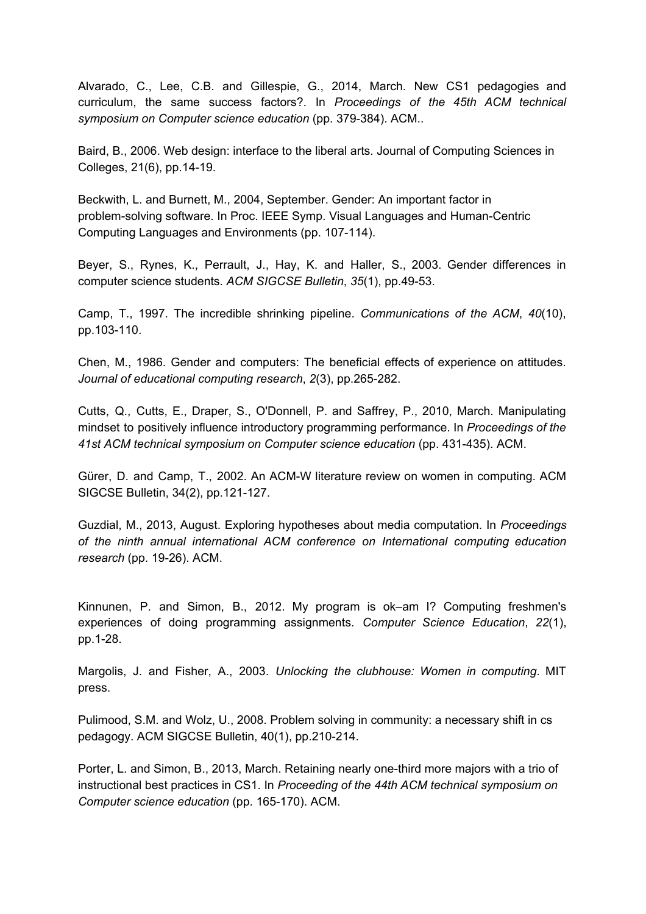Alvarado, C., Lee, C.B. and Gillespie, G., 2014, March. New CS1 pedagogies and curriculum, the same success factors?. In *Proceedings of the 45th ACM technical symposium on Computer science education* (pp. 379-384). ACM..

Baird, B., 2006. Web design: interface to the liberal arts. Journal of Computing Sciences in Colleges, 21(6), pp.14-19.

Beckwith, L. and Burnett, M., 2004, September. Gender: An important factor in problem-solving software. In Proc. IEEE Symp. Visual Languages and Human-Centric Computing Languages and Environments (pp. 107-114).

Beyer, S., Rynes, K., Perrault, J., Hay, K. and Haller, S., 2003. Gender differences in computer science students. *ACM SIGCSE Bulletin*, *35*(1), pp.49-53.

Camp, T., 1997. The incredible shrinking pipeline. *Communications of the ACM*, *40*(10), pp.103-110.

Chen, M., 1986. Gender and computers: The beneficial effects of experience on attitudes. *Journal of educational computing research*, *2*(3), pp.265-282.

Cutts, Q., Cutts, E., Draper, S., O'Donnell, P. and Saffrey, P., 2010, March. Manipulating mindset to positively influence introductory programming performance. In *Proceedings of the 41st ACM technical symposium on Computer science education* (pp. 431-435). ACM.

Gürer, D. and Camp, T., 2002. An ACM-W literature review on women in computing. ACM SIGCSE Bulletin, 34(2), pp.121-127.

Guzdial, M., 2013, August. Exploring hypotheses about media computation. In *Proceedings of the ninth annual international ACM conference on International computing education research* (pp. 19-26). ACM.

Kinnunen, P. and Simon, B., 2012. My program is ok–am I? Computing freshmen's experiences of doing programming assignments. *Computer Science Education*, *22*(1), pp.1-28.

Margolis, J. and Fisher, A., 2003. *Unlocking the clubhouse: Women in computing*. MIT press.

Pulimood, S.M. and Wolz, U., 2008. Problem solving in community: a necessary shift in cs pedagogy. ACM SIGCSE Bulletin, 40(1), pp.210-214.

Porter, L. and Simon, B., 2013, March. Retaining nearly one-third more majors with a trio of instructional best practices in CS1. In *Proceeding of the 44th ACM technical symposium on Computer science education* (pp. 165-170). ACM.